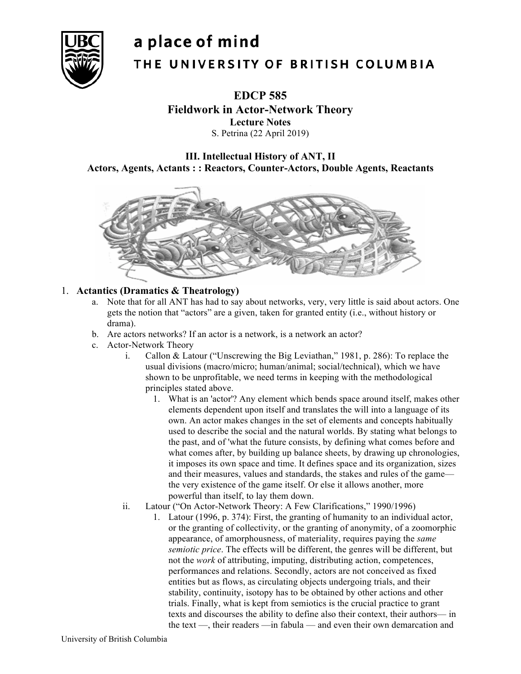

# a place of mind THE UNIVERSITY OF BRITISH COLUMBIA

**EDCP 585 Fieldwork in Actor-Network Theory Lecture Notes** S. Petrina (22 April 2019)

# **III. Intellectual History of ANT, II Actors, Agents, Actants : : Reactors, Counter-Actors, Double Agents, Reactants**



# 1. **Actantics (Dramatics & Theatrology)**

- a. Note that for all ANT has had to say about networks, very, very little is said about actors. One gets the notion that "actors" are a given, taken for granted entity (i.e., without history or drama).
- b. Are actors networks? If an actor is a network, is a network an actor?
- c. Actor-Network Theory
	- i. Callon & Latour ("Unscrewing the Big Leviathan," 1981, p. 286): To replace the usual divisions (macro/micro; human/animal; social/technical), which we have shown to be unprofitable, we need terms in keeping with the methodological principles stated above.
		- 1. What is an 'actor'? Any element which bends space around itself, makes other elements dependent upon itself and translates the will into a language of its own. An actor makes changes in the set of elements and concepts habitually used to describe the social and the natural worlds. By stating what belongs to the past, and of 'what the future consists, by defining what comes before and what comes after, by building up balance sheets, by drawing up chronologies, it imposes its own space and time. It defines space and its organization, sizes and their measures, values and standards, the stakes and rules of the game the very existence of the game itself. Or else it allows another, more powerful than itself, to lay them down.
	- ii. Latour ("On Actor-Network Theory: A Few Clarifications," 1990/1996)
		- 1. Latour (1996, p. 374): First, the granting of humanity to an individual actor, or the granting of collectivity, or the granting of anonymity, of a zoomorphic appearance, of amorphousness, of materiality, requires paying the *same semiotic price*. The effects will be different, the genres will be different, but not the *work* of attributing, imputing, distributing action, competences, performances and relations. Secondly, actors are not conceived as fixed entities but as flows, as circulating objects undergoing trials, and their stability, continuity, isotopy has to be obtained by other actions and other trials. Finally, what is kept from semiotics is the crucial practice to grant texts and discourses the ability to define also their context, their authors— in the text —, their readers —in fabula — and even their own demarcation and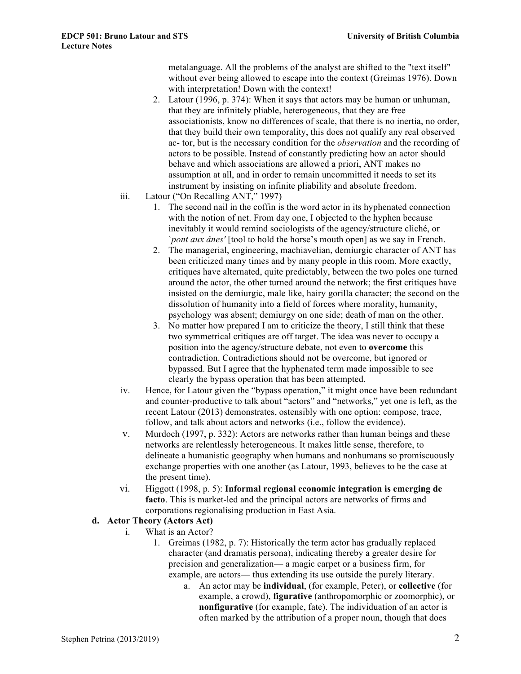metalanguage. All the problems of the analyst are shifted to the "text itself" without ever being allowed to escape into the context (Greimas 1976). Down with interpretation! Down with the context!

- 2. Latour (1996, p. 374): When it says that actors may be human or unhuman, that they are infinitely pliable, heterogeneous, that they are free associationists, know no differences of scale, that there is no inertia, no order, that they build their own temporality, this does not qualify any real observed ac- tor, but is the necessary condition for the *observation* and the recording of actors to be possible. Instead of constantly predicting how an actor should behave and which associations are allowed a priori, ANT makes no assumption at all, and in order to remain uncommitted it needs to set its instrument by insisting on infinite pliability and absolute freedom.
- iii. Latour ("On Recalling ANT," 1997)
	- 1. The second nail in the coffin is the word actor in its hyphenated connection with the notion of net. From day one, I objected to the hyphen because inevitably it would remind sociologists of the agency/structure cliché, or `*pont aux ânes'* [tool to hold the horse's mouth open] as we say in French.
	- 2. The managerial, engineering, machiavelian, demiurgic character of ANT has been criticized many times and by many people in this room. More exactly, critiques have alternated, quite predictably, between the two poles one turned around the actor, the other turned around the network; the first critiques have insisted on the demiurgic, male like, hairy gorilla character; the second on the dissolution of humanity into a field of forces where morality, humanity, psychology was absent; demiurgy on one side; death of man on the other.
	- 3. No matter how prepared I am to criticize the theory, I still think that these two symmetrical critiques are off target. The idea was never to occupy a position into the agency/structure debate, not even to **overcome** this contradiction. Contradictions should not be overcome, but ignored or bypassed. But I agree that the hyphenated term made impossible to see clearly the bypass operation that has been attempted.
- iv. Hence, for Latour given the "bypass operation," it might once have been redundant and counter-productive to talk about "actors" and "networks," yet one is left, as the recent Latour (2013) demonstrates, ostensibly with one option: compose, trace, follow, and talk about actors and networks (i.e., follow the evidence).
- v. Murdoch (1997, p. 332): Actors are networks rather than human beings and these networks are relentlessly heterogeneous. It makes little sense, therefore, to delineate a humanistic geography when humans and nonhumans so promiscuously exchange properties with one another (as Latour, 1993, believes to be the case at the present time).
- vi. Higgott (1998, p. 5): **Informal regional economic integration is emerging de facto**. This is market-led and the principal actors are networks of firms and corporations regionalising production in East Asia.
- **d. Actor Theory (Actors Act)**
	- i. What is an Actor?
		- 1. Greimas (1982, p. 7): Historically the term actor has gradually replaced character (and dramatis persona), indicating thereby a greater desire for precision and generalization— a magic carpet or a business firm, for example, are actors— thus extending its use outside the purely literary.
			- a. An actor may be **individual**, (for example, Peter), or **collective** (for example, a crowd), **figurative** (anthropomorphic or zoomorphic), or **nonfigurative** (for example, fate). The individuation of an actor is often marked by the attribution of a proper noun, though that does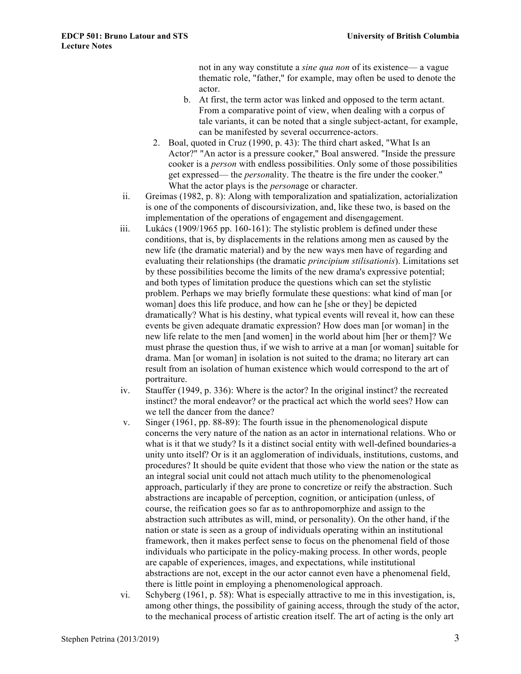not in any way constitute a *sine qua non* of its existence— a vague thematic role, "father," for example, may often be used to denote the actor.

- b. At first, the term actor was linked and opposed to the term actant. From a comparative point of view, when dealing with a corpus of tale variants, it can be noted that a single subject-actant, for example, can be manifested by several occurrence-actors.
- 2. Boal, quoted in Cruz (1990, p. 43): The third chart asked, "What Is an Actor?" "An actor is a pressure cooker," Boal answered. "Inside the pressure cooker is a *person* with endless possibilities. Only some of those possibilities get expressed— the *person*ality. The theatre is the fire under the cooker." What the actor plays is the *person*age or character.
- ii. Greimas (1982, p. 8): Along with temporalization and spatialization, actorialization is one of the components of discoursivization, and, like these two, is based on the implementation of the operations of engagement and disengagement.
- iii. Lukács (1909/1965 pp. 160-161): The stylistic problem is defined under these conditions, that is, by displacements in the relations among men as caused by the new life (the dramatic material) and by the new ways men have of regarding and evaluating their relationships (the dramatic *principium stilisationis*). Limitations set by these possibilities become the limits of the new drama's expressive potential; and both types of limitation produce the questions which can set the stylistic problem. Perhaps we may briefly formulate these questions: what kind of man [or woman] does this life produce, and how can he [she or they] be depicted dramatically? What is his destiny, what typical events will reveal it, how can these events be given adequate dramatic expression? How does man [or woman] in the new life relate to the men [and women] in the world about him [her or them]? We must phrase the question thus, if we wish to arrive at a man [or woman] suitable for drama. Man [or woman] in isolation is not suited to the drama; no literary art can result from an isolation of human existence which would correspond to the art of portraiture.
- iv. Stauffer (1949, p. 336): Where is the actor? In the original instinct? the recreated instinct? the moral endeavor? or the practical act which the world sees? How can we tell the dancer from the dance?
- v. Singer (1961, pp. 88-89): The fourth issue in the phenomenological dispute concerns the very nature of the nation as an actor in international relations. Who or what is it that we study? Is it a distinct social entity with well-defined boundaries-a unity unto itself? Or is it an agglomeration of individuals, institutions, customs, and procedures? It should be quite evident that those who view the nation or the state as an integral social unit could not attach much utility to the phenomenological approach, particularly if they are prone to concretize or reify the abstraction. Such abstractions are incapable of perception, cognition, or anticipation (unless, of course, the reification goes so far as to anthropomorphize and assign to the abstraction such attributes as will, mind, or personality). On the other hand, if the nation or state is seen as a group of individuals operating within an institutional framework, then it makes perfect sense to focus on the phenomenal field of those individuals who participate in the policy-making process. In other words, people are capable of experiences, images, and expectations, while institutional abstractions are not, except in the our actor cannot even have a phenomenal field, there is little point in employing a phenomenological approach.
- vi. Schyberg (1961, p. 58): What is especially attractive to me in this investigation, is, among other things, the possibility of gaining access, through the study of the actor, to the mechanical process of artistic creation itself. The art of acting is the only art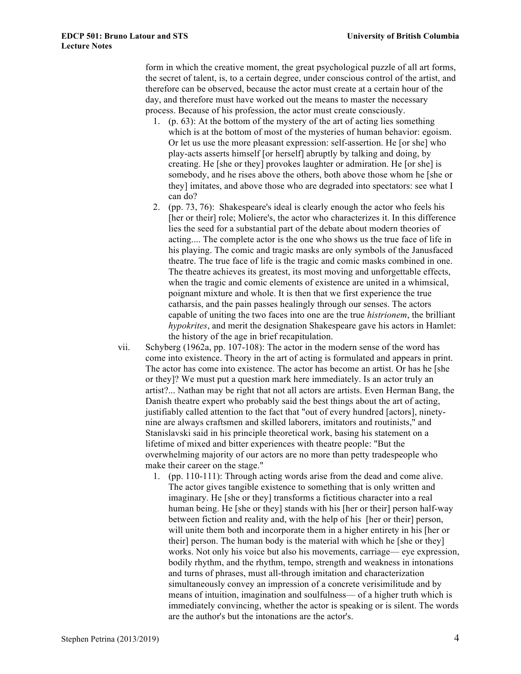form in which the creative moment, the great psychological puzzle of all art forms, the secret of talent, is, to a certain degree, under conscious control of the artist, and therefore can be observed, because the actor must create at a certain hour of the day, and therefore must have worked out the means to master the necessary process. Because of his profession, the actor must create consciously.

- 1. (p. 63): At the bottom of the mystery of the art of acting lies something which is at the bottom of most of the mysteries of human behavior: egoism. Or let us use the more pleasant expression: self-assertion. He [or she] who play-acts asserts himself [or herself] abruptly by talking and doing, by creating. He [she or they] provokes laughter or admiration. He [or she] is somebody, and he rises above the others, both above those whom he [she or they] imitates, and above those who are degraded into spectators: see what I can do?
- 2. (pp. 73, 76): Shakespeare's ideal is clearly enough the actor who feels his [her or their] role; Moliere's, the actor who characterizes it. In this difference lies the seed for a substantial part of the debate about modern theories of acting.... The complete actor is the one who shows us the true face of life in his playing. The comic and tragic masks are only symbols of the Janusfaced theatre. The true face of life is the tragic and comic masks combined in one. The theatre achieves its greatest, its most moving and unforgettable effects, when the tragic and comic elements of existence are united in a whimsical, poignant mixture and whole. It is then that we first experience the true catharsis, and the pain passes healingly through our senses. The actors capable of uniting the two faces into one are the true *histrionem*, the brilliant *hypokrites*, and merit the designation Shakespeare gave his actors in Hamlet: the history of the age in brief recapitulation.
- vii. Schyberg (1962a, pp. 107-108): The actor in the modern sense of the word has come into existence. Theory in the art of acting is formulated and appears in print. The actor has come into existence. The actor has become an artist. Or has he [she or they]? We must put a question mark here immediately. Is an actor truly an artist?... Nathan may be right that not all actors are artists. Even Herman Bang, the Danish theatre expert who probably said the best things about the art of acting, justifiably called attention to the fact that "out of every hundred [actors], ninetynine are always craftsmen and skilled laborers, imitators and routinists," and Stanislavski said in his principle theoretical work, basing his statement on a lifetime of mixed and bitter experiences with theatre people: "But the overwhelming majority of our actors are no more than petty tradespeople who make their career on the stage."
	- 1. (pp. 110-111): Through acting words arise from the dead and come alive. The actor gives tangible existence to something that is only written and imaginary. He [she or they] transforms a fictitious character into a real human being. He [she or they] stands with his [her or their] person half-way between fiction and reality and, with the help of his [her or their] person, will unite them both and incorporate them in a higher entirety in his [her or their] person. The human body is the material with which he [she or they] works. Not only his voice but also his movements, carriage— eye expression, bodily rhythm, and the rhythm, tempo, strength and weakness in intonations and turns of phrases, must all-through imitation and characterization simultaneously convey an impression of a concrete verisimilitude and by means of intuition, imagination and soulfulness— of a higher truth which is immediately convincing, whether the actor is speaking or is silent. The words are the author's but the intonations are the actor's.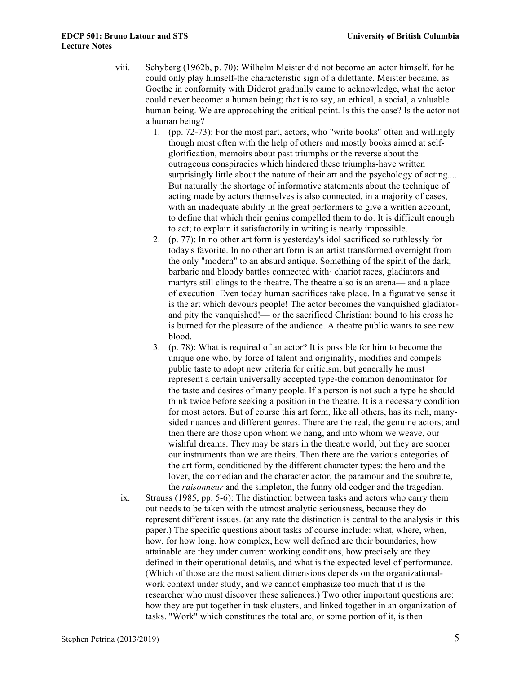- viii. Schyberg (1962b, p. 70): Wilhelm Meister did not become an actor himself, for he could only play himself-the characteristic sign of a dilettante. Meister became, as Goethe in conformity with Diderot gradually came to acknowledge, what the actor could never become: a human being; that is to say, an ethical, a social, a valuable human being. We are approaching the critical point. Is this the case? Is the actor not a human being?
	- 1. (pp. 72-73): For the most part, actors, who "write books" often and willingly though most often with the help of others and mostly books aimed at selfglorification, memoirs about past triumphs or the reverse about the outrageous conspiracies which hindered these triumphs-have written surprisingly little about the nature of their art and the psychology of acting.... But naturally the shortage of informative statements about the technique of acting made by actors themselves is also connected, in a majority of cases, with an inadequate ability in the great performers to give a written account, to define that which their genius compelled them to do. It is difficult enough to act; to explain it satisfactorily in writing is nearly impossible.
	- 2. (p. 77): In no other art form is yesterday's idol sacrificed so ruthlessly for today's favorite. In no other art form is an artist transformed overnight from the only "modern" to an absurd antique. Something of the spirit of the dark, barbaric and bloody battles connected with· chariot races, gladiators and martyrs still clings to the theatre. The theatre also is an arena— and a place of execution. Even today human sacrifices take place. In a figurative sense it is the art which devours people! The actor becomes the vanquished gladiatorand pity the vanquished!— or the sacrificed Christian; bound to his cross he is burned for the pleasure of the audience. A theatre public wants to see new blood.
	- 3. (p. 78): What is required of an actor? It is possible for him to become the unique one who, by force of talent and originality, modifies and compels public taste to adopt new criteria for criticism, but generally he must represent a certain universally accepted type-the common denominator for the taste and desires of many people. If a person is not such a type he should think twice before seeking a position in the theatre. It is a necessary condition for most actors. But of course this art form, like all others, has its rich, manysided nuances and different genres. There are the real, the genuine actors; and then there are those upon whom we hang, and into whom we weave, our wishful dreams. They may be stars in the theatre world, but they are sooner our instruments than we are theirs. Then there are the various categories of the art form, conditioned by the different character types: the hero and the lover, the comedian and the character actor, the paramour and the soubrette, the *raisonneur* and the simpleton, the funny old codger and the tragedian.
- ix. Strauss (1985, pp. 5-6): The distinction between tasks and actors who carry them out needs to be taken with the utmost analytic seriousness, because they do represent different issues. (at any rate the distinction is central to the analysis in this paper.) The specific questions about tasks of course include: what, where, when, how, for how long, how complex, how well defined are their boundaries, how attainable are they under current working conditions, how precisely are they defined in their operational details, and what is the expected level of performance. (Which of those are the most salient dimensions depends on the organizationalwork context under study, and we cannot emphasize too much that it is the researcher who must discover these saliences.) Two other important questions are: how they are put together in task clusters, and linked together in an organization of tasks. "Work" which constitutes the total arc, or some portion of it, is then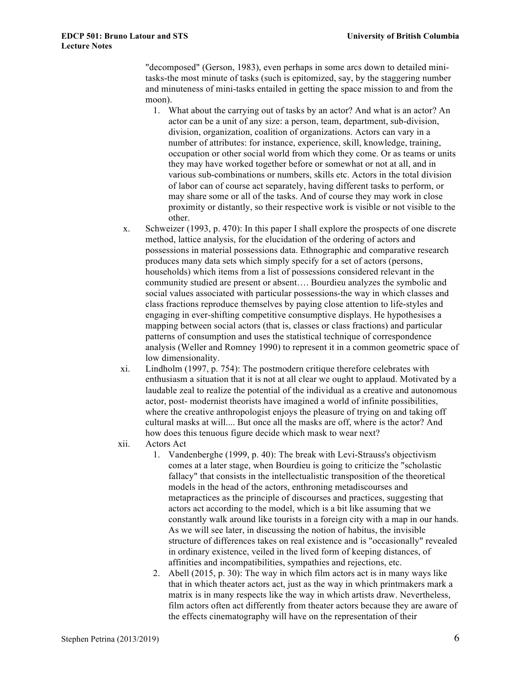"decomposed" (Gerson, 1983), even perhaps in some arcs down to detailed minitasks-the most minute of tasks (such is epitomized, say, by the staggering number and minuteness of mini-tasks entailed in getting the space mission to and from the moon).

- 1. What about the carrying out of tasks by an actor? And what is an actor? An actor can be a unit of any size: a person, team, department, sub-division, division, organization, coalition of organizations. Actors can vary in a number of attributes: for instance, experience, skill, knowledge, training, occupation or other social world from which they come. Or as teams or units they may have worked together before or somewhat or not at all, and in various sub-combinations or numbers, skills etc. Actors in the total division of labor can of course act separately, having different tasks to perform, or may share some or all of the tasks. And of course they may work in close proximity or distantly, so their respective work is visible or not visible to the other.
- x. Schweizer (1993, p. 470): In this paper I shall explore the prospects of one discrete method, lattice analysis, for the elucidation of the ordering of actors and possessions in material possessions data. Ethnographic and comparative research produces many data sets which simply specify for a set of actors (persons, households) which items from a list of possessions considered relevant in the community studied are present or absent…. Bourdieu analyzes the symbolic and social values associated with particular possessions-the way in which classes and class fractions reproduce themselves by paying close attention to life-styles and engaging in ever-shifting competitive consumptive displays. He hypothesises a mapping between social actors (that is, classes or class fractions) and particular patterns of consumption and uses the statistical technique of correspondence analysis (Weller and Romney 1990) to represent it in a common geometric space of low dimensionality.
- xi. Lindholm (1997, p. 754): The postmodern critique therefore celebrates with enthusiasm a situation that it is not at all clear we ought to applaud. Motivated by a laudable zeal to realize the potential of the individual as a creative and autonomous actor, post- modernist theorists have imagined a world of infinite possibilities, where the creative anthropologist enjoys the pleasure of trying on and taking off cultural masks at will.... But once all the masks are off, where is the actor? And how does this tenuous figure decide which mask to wear next?
- xii. Actors Act
	- 1. Vandenberghe (1999, p. 40): The break with Levi-Strauss's objectivism comes at a later stage, when Bourdieu is going to criticize the "scholastic fallacy" that consists in the intellectualistic transposition of the theoretical models in the head of the actors, enthroning metadiscourses and metapractices as the principle of discourses and practices, suggesting that actors act according to the model, which is a bit like assuming that we constantly walk around like tourists in a foreign city with a map in our hands. As we will see later, in discussing the notion of habitus, the invisible structure of differences takes on real existence and is "occasionally" revealed in ordinary existence, veiled in the lived form of keeping distances, of affinities and incompatibilities, sympathies and rejections, etc.
	- 2. Abell (2015, p. 30): The way in which film actors act is in many ways like that in which theater actors act, just as the way in which printmakers mark a matrix is in many respects like the way in which artists draw. Nevertheless, film actors often act differently from theater actors because they are aware of the effects cinematography will have on the representation of their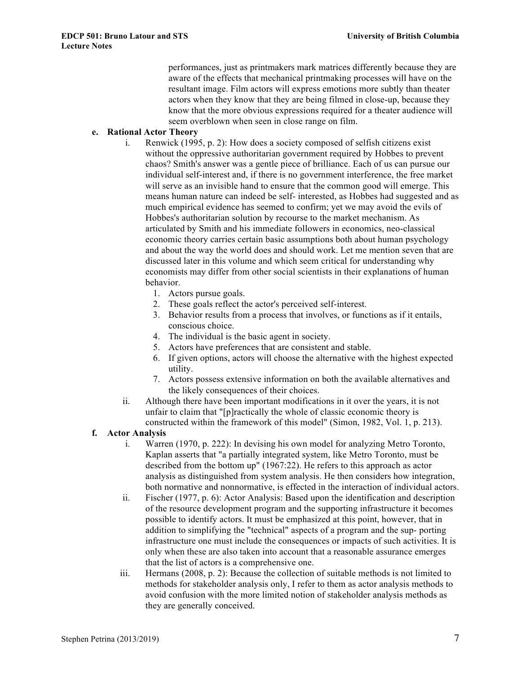performances, just as printmakers mark matrices differently because they are aware of the effects that mechanical printmaking processes will have on the resultant image. Film actors will express emotions more subtly than theater actors when they know that they are being filmed in close-up, because they know that the more obvious expressions required for a theater audience will seem overblown when seen in close range on film.

#### **e. Rational Actor Theory**

- i. Renwick (1995, p. 2): How does a society composed of selfish citizens exist without the oppressive authoritarian government required by Hobbes to prevent chaos? Smith's answer was a gentle piece of brilliance. Each of us can pursue our individual self-interest and, if there is no government interference, the free market will serve as an invisible hand to ensure that the common good will emerge. This means human nature can indeed be self- interested, as Hobbes had suggested and as much empirical evidence has seemed to confirm; yet we may avoid the evils of Hobbes's authoritarian solution by recourse to the market mechanism. As articulated by Smith and his immediate followers in economics, neo-classical economic theory carries certain basic assumptions both about human psychology and about the way the world does and should work. Let me mention seven that are discussed later in this volume and which seem critical for understanding why economists may differ from other social scientists in their explanations of human behavior.
	- 1. Actors pursue goals.
	- 2. These goals reflect the actor's perceived self-interest.
	- 3. Behavior results from a process that involves, or functions as if it entails, conscious choice.
	- 4. The individual is the basic agent in society.
	- 5. Actors have preferences that are consistent and stable.
	- 6. If given options, actors will choose the alternative with the highest expected utility.
	- 7. Actors possess extensive information on both the available alternatives and the likely consequences of their choices.
- ii. Although there have been important modifications in it over the years, it is not unfair to claim that "[p]ractically the whole of classic economic theory is constructed within the framework of this model" (Simon, 1982, Vol. 1, p. 213).

#### **f. Actor Analysis**

- i. Warren (1970, p. 222): In devising his own model for analyzing Metro Toronto, Kaplan asserts that "a partially integrated system, like Metro Toronto, must be described from the bottom up" (1967:22). He refers to this approach as actor analysis as distinguished from system analysis. He then considers how integration, both normative and nonnormative, is effected in the interaction of individual actors.
- ii. Fischer (1977, p. 6): Actor Analysis: Based upon the identification and description of the resource development program and the supporting infrastructure it becomes possible to identify actors. It must be emphasized at this point, however, that in addition to simplifying the "technical" aspects of a program and the sup- porting infrastructure one must include the consequences or impacts of such activities. It is only when these are also taken into account that a reasonable assurance emerges that the list of actors is a comprehensive one.
- iii. Hermans (2008, p. 2): Because the collection of suitable methods is not limited to methods for stakeholder analysis only, I refer to them as actor analysis methods to avoid confusion with the more limited notion of stakeholder analysis methods as they are generally conceived.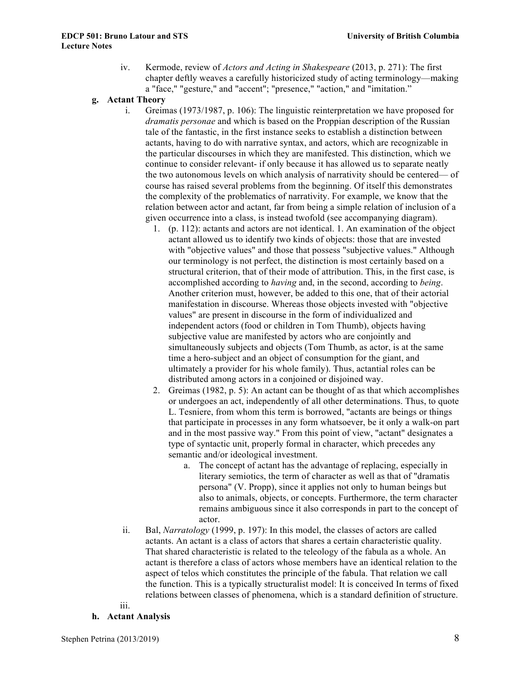- iv. Kermode, review of *Actors and Acting in Shakespeare* (2013, p. 271): The first chapter deftly weaves a carefully historicized study of acting terminology—making a "face," "gesture," and "accent"; "presence," "action," and "imitation."
- **g. Actant Theory**
	- i. Greimas (1973/1987, p. 106): The linguistic reinterpretation we have proposed for *dramatis personae* and which is based on the Proppian description of the Russian tale of the fantastic, in the first instance seeks to establish a distinction between actants, having to do with narrative syntax, and actors, which are recognizable in the particular discourses in which they are manifested. This distinction, which we continue to consider relevant- if only because it has allowed us to separate neatly the two autonomous levels on which analysis of narrativity should be centered— of course has raised several problems from the beginning. Of itself this demonstrates the complexity of the problematics of narrativity. For example, we know that the relation between actor and actant, far from being a simple relation of inclusion of a given occurrence into a class, is instead twofold (see accompanying diagram).
		- 1. (p. 112): actants and actors are not identical. 1. An examination of the object actant allowed us to identify two kinds of objects: those that are invested with "objective values" and those that possess "subjective values." Although our terminology is not perfect, the distinction is most certainly based on a structural criterion, that of their mode of attribution. This, in the first case, is accomplished according to *having* and, in the second, according to *being*. Another criterion must, however, be added to this one, that of their actorial manifestation in discourse. Whereas those objects invested with "objective values" are present in discourse in the form of individualized and independent actors (food or children in Tom Thumb), objects having subjective value are manifested by actors who are conjointly and simultaneously subjects and objects (Tom Thumb, as actor, is at the same time a hero-subject and an object of consumption for the giant, and ultimately a provider for his whole family). Thus, actantial roles can be distributed among actors in a conjoined or disjoined way.
		- 2. Greimas (1982, p. 5): An actant can be thought of as that which accomplishes or undergoes an act, independently of all other determinations. Thus, to quote L. Tesniere, from whom this term is borrowed, "actants are beings or things that participate in processes in any form whatsoever, be it only a walk-on part and in the most passive way." From this point of view, "actant" designates a type of syntactic unit, properly formal in character, which precedes any semantic and/or ideological investment.
			- a. The concept of actant has the advantage of replacing, especially in literary semiotics, the term of character as well as that of "dramatis persona" (V. Propp), since it applies not only to human beings but also to animals, objects, or concepts. Furthermore, the term character remains ambiguous since it also corresponds in part to the concept of actor.
	- ii. Bal, *Narratology* (1999, p. 197): In this model, the classes of actors are called actants. An actant is a class of actors that shares a certain characteristic quality. That shared characteristic is related to the teleology of the fabula as a whole. An actant is therefore a class of actors whose members have an identical relation to the aspect of telos which constitutes the principle of the fabula. That relation we call the function. This is a typically structuralist model: It is conceived In terms of fixed relations between classes of phenomena, which is a standard definition of structure.
	- iii.
- **h. Actant Analysis**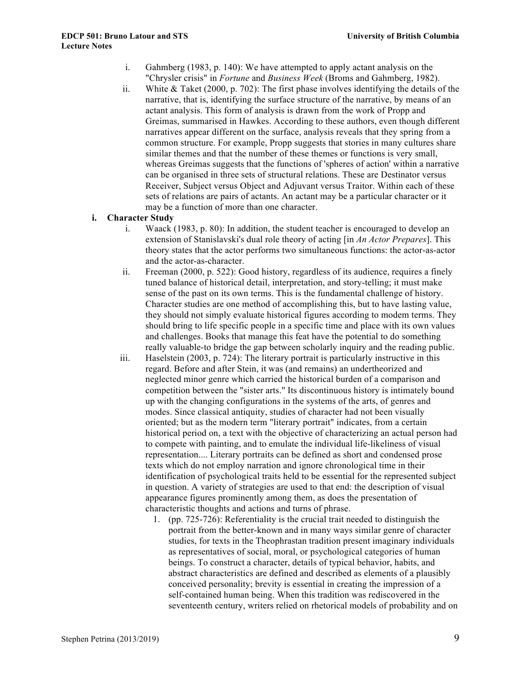- i. Gahmberg (1983, p. 140): We have attempted to apply actant analysis on the "Chrysler crisis" in *Fortune* and *Business Week* (Broms and Gahmberg, 1982).
- ii. White  $\&$  Taket (2000, p. 702): The first phase involves identifying the details of the narrative, that is, identifying the surface structure of the narrative, by means of an actant analysis. This form of analysis is drawn from the work of Propp and Greimas, summarised in Hawkes. According to these authors, even though different narratives appear different on the surface, analysis reveals that they spring from a common structure. For example, Propp suggests that stories in many cultures share similar themes and that the number of these themes or functions is very small, whereas Greimas suggests that the functions of 'spheres of action' within a narrative can be organised in three sets of structural relations. These are Destinator versus Receiver, Subject versus Object and Adjuvant versus Traitor. Within each of these sets of relations are pairs of actants. An actant may be a particular character or it may be a function of more than one character.

#### **i. Character Study**

- i. Waack (1983, p. 80): In addition, the student teacher is encouraged to develop an extension of Stanislavski's dual role theory of acting [in *An Actor Prepares*]. This theory states that the actor performs two simultaneous functions: the actor-as-actor and the actor-as-character.
- ii. Freeman (2000, p. 522): Good history, regardless of its audience, requires a finely tuned balance of historical detail, interpretation, and story-telling; it must make sense of the past on its own terms. This is the fundamental challenge of history. Character studies are one method of accomplishing this, but to have lasting value, they should not simply evaluate historical figures according to modem terms. They should bring to life specific people in a specific time and place with its own values and challenges. Books that manage this feat have the potential to do something really valuable-to bridge the gap between scholarly inquiry and the reading public.
- iii. Haselstein (2003, p. 724): The literary portrait is particularly instructive in this regard. Before and after Stein, it was (and remains) an undertheorized and neglected minor genre which carried the historical burden of a comparison and competition between the "sister arts." Its discontinuous history is intimately bound up with the changing configurations in the systems of the arts, of genres and modes. Since classical antiquity, studies of character had not been visually oriented; but as the modern term "literary portrait" indicates, from a certain historical period on, a text with the objective of characterizing an actual person had to compete with painting, and to emulate the individual life-likeliness of visual representation.... Literary portraits can be defined as short and condensed prose texts which do not employ narration and ignore chronological time in their identification of psychological traits held to be essential for the represented subject in question. A variety of strategies are used to that end: the description of visual appearance figures prominently among them, as does the presentation of characteristic thoughts and actions and turns of phrase.
	- 1. (pp. 725-726): Referentiality is the crucial trait needed to distinguish the portrait from the better-known and in many ways similar genre of character studies, for texts in the Theophrastan tradition present imaginary individuals as representatives of social, moral, or psychological categories of human beings. To construct a character, details of typical behavior, habits, and abstract characteristics are defined and described as elements of a plausibly conceived personality; brevity is essential in creating the impression of a self-contained human being. When this tradition was rediscovered in the seventeenth century, writers relied on rhetorical models of probability and on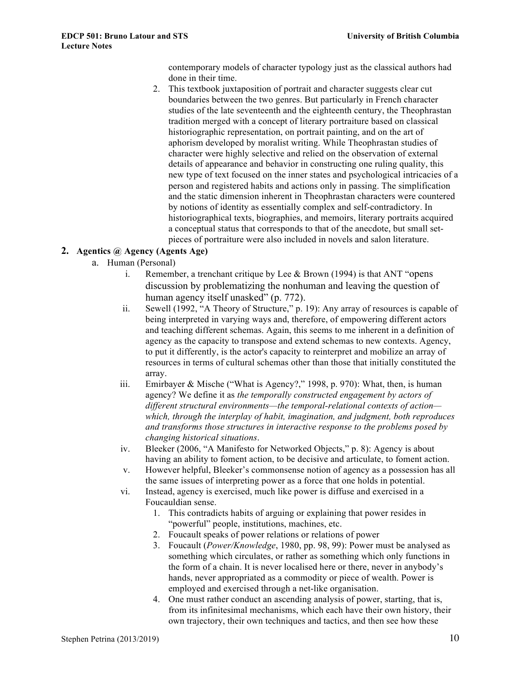contemporary models of character typology just as the classical authors had done in their time.

2. This textbook juxtaposition of portrait and character suggests clear cut boundaries between the two genres. But particularly in French character studies of the late seventeenth and the eighteenth century, the Theophrastan tradition merged with a concept of literary portraiture based on classical historiographic representation, on portrait painting, and on the art of aphorism developed by moralist writing. While Theophrastan studies of character were highly selective and relied on the observation of external details of appearance and behavior in constructing one ruling quality, this new type of text focused on the inner states and psychological intricacies of a person and registered habits and actions only in passing. The simplification and the static dimension inherent in Theophrastan characters were countered by notions of identity as essentially complex and self-contradictory. In historiographical texts, biographies, and memoirs, literary portraits acquired a conceptual status that corresponds to that of the anecdote, but small setpieces of portraiture were also included in novels and salon literature.

## **2. Agentics @ Agency (Agents Age)**

- a. Human (Personal)
	- i. Remember, a trenchant critique by Lee & Brown (1994) is that ANT "opens" discussion by problematizing the nonhuman and leaving the question of human agency itself unasked" (p. 772).
	- ii. Sewell (1992, "A Theory of Structure," p. 19): Any array of resources is capable of being interpreted in varying ways and, therefore, of empowering different actors and teaching different schemas. Again, this seems to me inherent in a definition of agency as the capacity to transpose and extend schemas to new contexts. Agency, to put it differently, is the actor's capacity to reinterpret and mobilize an array of resources in terms of cultural schemas other than those that initially constituted the array.
	- iii. Emirbayer & Mische ("What is Agency?," 1998, p. 970): What, then, is human agency? We define it as *the temporally constructed engagement by actors of different structural environments—the temporal-relational contexts of action which, through the interplay of habit, imagination, and judgment, both reproduces and transforms those structures in interactive response to the problems posed by changing historical situations*.
	- iv. Bleeker (2006, "A Manifesto for Networked Objects," p. 8): Agency is about having an ability to foment action, to be decisive and articulate, to foment action.
	- v. However helpful, Bleeker's commonsense notion of agency as a possession has all the same issues of interpreting power as a force that one holds in potential.
	- vi. Instead, agency is exercised, much like power is diffuse and exercised in a Foucauldian sense.
		- 1. This contradicts habits of arguing or explaining that power resides in "powerful" people, institutions, machines, etc.
		- 2. Foucault speaks of power relations or relations of power
		- 3. Foucault (*Power/Knowledge*, 1980, pp. 98, 99): Power must be analysed as something which circulates, or rather as something which only functions in the form of a chain. It is never localised here or there, never in anybody's hands, never appropriated as a commodity or piece of wealth. Power is employed and exercised through a net-like organisation.
		- 4. One must rather conduct an ascending analysis of power, starting, that is, from its infinitesimal mechanisms, which each have their own history, their own trajectory, their own techniques and tactics, and then see how these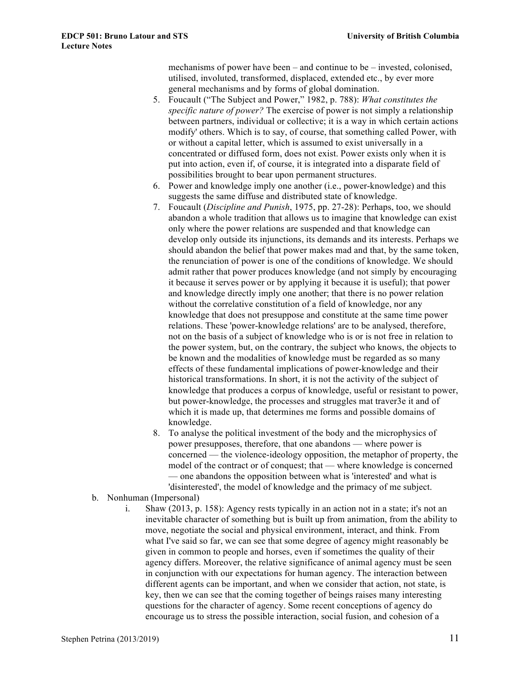mechanisms of power have been – and continue to be – invested, colonised, utilised, involuted, transformed, displaced, extended etc., by ever more general mechanisms and by forms of global domination.

- 5. Foucault ("The Subject and Power," 1982, p. 788): *What constitutes the specific nature of power?* The exercise of power is not simply a relationship between partners, individual or collective; it is a way in which certain actions modify' others. Which is to say, of course, that something called Power, with or without a capital letter, which is assumed to exist universally in a concentrated or diffused form, does not exist. Power exists only when it is put into action, even if, of course, it is integrated into a disparate field of possibilities brought to bear upon permanent structures.
- 6. Power and knowledge imply one another (i.e., power-knowledge) and this suggests the same diffuse and distributed state of knowledge.
- 7. Foucault (*Discipline and Punish*, 1975, pp. 27-28): Perhaps, too, we should abandon a whole tradition that allows us to imagine that knowledge can exist only where the power relations are suspended and that knowledge can develop only outside its injunctions, its demands and its interests. Perhaps we should abandon the belief that power makes mad and that, by the same token, the renunciation of power is one of the conditions of knowledge. We should admit rather that power produces knowledge (and not simply by encouraging it because it serves power or by applying it because it is useful); that power and knowledge directly imply one another; that there is no power relation without the correlative constitution of a field of knowledge, nor any knowledge that does not presuppose and constitute at the same time power relations. These 'power-knowledge relations' are to be analysed, therefore, not on the basis of a subject of knowledge who is or is not free in relation to the power system, but, on the contrary, the subject who knows, the objects to be known and the modalities of knowledge must be regarded as so many effects of these fundamental implications of power-knowledge and their historical transformations. In short, it is not the activity of the subject of knowledge that produces a corpus of knowledge, useful or resistant to power, but power-knowledge, the processes and struggles mat traver3e it and of which it is made up, that determines me forms and possible domains of knowledge.
- 8. To analyse the political investment of the body and the microphysics of power presupposes, therefore, that one abandons — where power is concerned — the violence-ideology opposition, the metaphor of property, the model of the contract or of conquest; that — where knowledge is concerned — one abandons the opposition between what is 'interested' and what is 'disinterested', the model of knowledge and the primacy of me subject.
- b. Nonhuman (Impersonal)
	- i. Shaw (2013, p. 158): Agency rests typically in an action not in a state; it's not an inevitable character of something but is built up from animation, from the ability to move, negotiate the social and physical environment, interact, and think. From what I've said so far, we can see that some degree of agency might reasonably be given in common to people and horses, even if sometimes the quality of their agency differs. Moreover, the relative significance of animal agency must be seen in conjunction with our expectations for human agency. The interaction between different agents can be important, and when we consider that action, not state, is key, then we can see that the coming together of beings raises many interesting questions for the character of agency. Some recent conceptions of agency do encourage us to stress the possible interaction, social fusion, and cohesion of a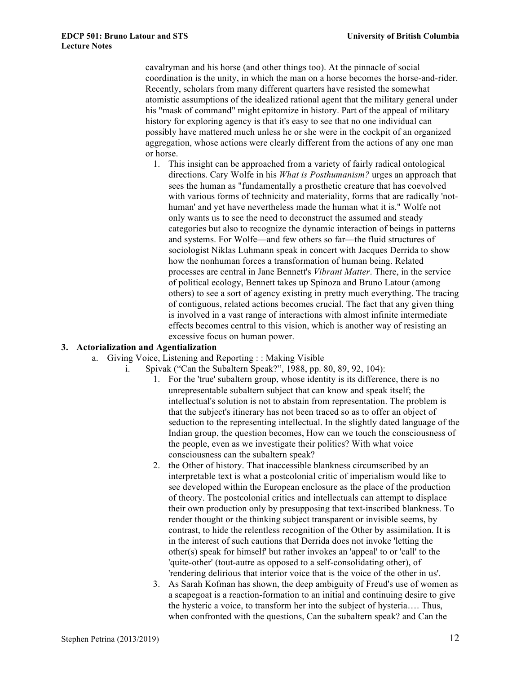cavalryman and his horse (and other things too). At the pinnacle of social coordination is the unity, in which the man on a horse becomes the horse-and-rider. Recently, scholars from many different quarters have resisted the somewhat atomistic assumptions of the idealized rational agent that the military general under his "mask of command" might epitomize in history. Part of the appeal of military history for exploring agency is that it's easy to see that no one individual can possibly have mattered much unless he or she were in the cockpit of an organized aggregation, whose actions were clearly different from the actions of any one man or horse.

1. This insight can be approached from a variety of fairly radical ontological directions. Cary Wolfe in his *What is Posthumanism?* urges an approach that sees the human as "fundamentally a prosthetic creature that has coevolved with various forms of technicity and materiality, forms that are radically 'nothuman' and yet have nevertheless made the human what it is." Wolfe not only wants us to see the need to deconstruct the assumed and steady categories but also to recognize the dynamic interaction of beings in patterns and systems. For Wolfe—and few others so far—the fluid structures of sociologist Niklas Luhmann speak in concert with Jacques Derrida to show how the nonhuman forces a transformation of human being. Related processes are central in Jane Bennett's *Vibrant Matter*. There, in the service of political ecology, Bennett takes up Spinoza and Bruno Latour (among others) to see a sort of agency existing in pretty much everything. The tracing of contiguous, related actions becomes crucial. The fact that any given thing is involved in a vast range of interactions with almost infinite intermediate effects becomes central to this vision, which is another way of resisting an excessive focus on human power.

### **3. Actorialization and Agentialization**

- a. Giving Voice, Listening and Reporting : : Making Visible
	- i. Spivak ("Can the Subaltern Speak?", 1988, pp. 80, 89, 92, 104):
		- 1. For the 'true' subaltern group, whose identity is its difference, there is no unrepresentable subaltern subject that can know and speak itself; the intellectual's solution is not to abstain from representation. The problem is that the subject's itinerary has not been traced so as to offer an object of seduction to the representing intellectual. In the slightly dated language of the Indian group, the question becomes, How can we touch the consciousness of the people, even as we investigate their politics? With what voice consciousness can the subaltern speak?
		- 2. the Other of history. That inaccessible blankness circumscribed by an interpretable text is what a postcolonial critic of imperialism would like to see developed within the European enclosure as the place of the production of theory. The postcolonial critics and intellectuals can attempt to displace their own production only by presupposing that text-inscribed blankness. To render thought or the thinking subject transparent or invisible seems, by contrast, to hide the relentless recognition of the Other by assimilation. It is in the interest of such cautions that Derrida does not invoke 'letting the other(s) speak for himself' but rather invokes an 'appeal' to or 'call' to the 'quite-other' (tout-autre as opposed to a self-consolidating other), of 'rendering delirious that interior voice that is the voice of the other in us'.
		- 3. As Sarah Kofman has shown, the deep ambiguity of Freud's use of women as a scapegoat is a reaction-formation to an initial and continuing desire to give the hysteric a voice, to transform her into the subject of hysteria…. Thus, when confronted with the questions, Can the subaltern speak? and Can the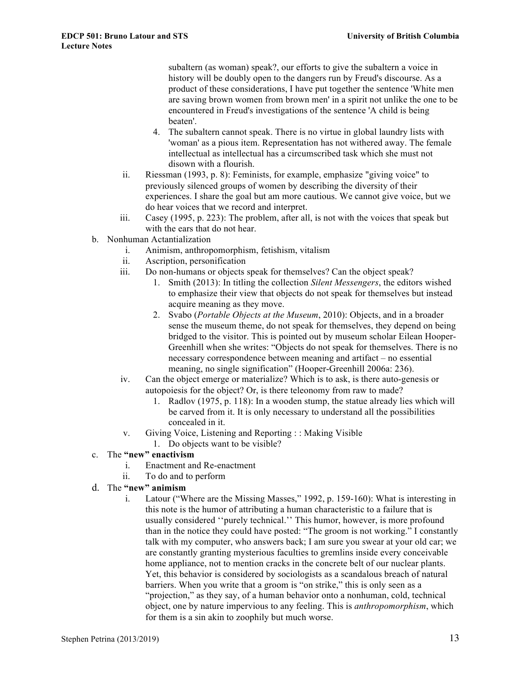subaltern (as woman) speak?, our efforts to give the subaltern a voice in history will be doubly open to the dangers run by Freud's discourse. As a product of these considerations, I have put together the sentence 'White men are saving brown women from brown men' in a spirit not unlike the one to be encountered in Freud's investigations of the sentence 'A child is being beaten'.

- 4. The subaltern cannot speak. There is no virtue in global laundry lists with 'woman' as a pious item. Representation has not withered away. The female intellectual as intellectual has a circumscribed task which she must not disown with a flourish.
- ii. Riessman (1993, p. 8): Feminists, for example, emphasize "giving voice" to previously silenced groups of women by describing the diversity of their experiences. I share the goal but am more cautious. We cannot give voice, but we do hear voices that we record and interpret.
- iii. Casey (1995, p. 223): The problem, after all, is not with the voices that speak but with the ears that do not hear.
- b. Nonhuman Actantialization
	- i. Animism, anthropomorphism, fetishism, vitalism
	- ii. Ascription, personification
	- iii. Do non-humans or objects speak for themselves? Can the object speak?
		- 1. Smith (2013): In titling the collection *Silent Messengers*, the editors wished to emphasize their view that objects do not speak for themselves but instead acquire meaning as they move.
		- 2. Svabo (*Portable Objects at the Museum*, 2010): Objects, and in a broader sense the museum theme, do not speak for themselves, they depend on being bridged to the visitor. This is pointed out by museum scholar Eilean Hooper-Greenhill when she writes: "Objects do not speak for themselves. There is no necessary correspondence between meaning and artifact – no essential meaning, no single signification" (Hooper-Greenhill 2006a: 236).
	- iv. Can the object emerge or materialize? Which is to ask, is there auto-genesis or autopoiesis for the object? Or, is there teleonomy from raw to made?
		- 1. Radlov (1975, p. 118): In a wooden stump, the statue already lies which will be carved from it. It is only necessary to understand all the possibilities concealed in it.
	- v. Giving Voice, Listening and Reporting : : Making Visible
		- 1. Do objects want to be visible?
- c. The **"new" enactivism**
	- i. Enactment and Re-enactment
	- ii. To do and to perform
- d. The **"new" animism**
	- i. Latour ("Where are the Missing Masses," 1992, p. 159-160): What is interesting in this note is the humor of attributing a human characteristic to a failure that is usually considered ''purely technical.'' This humor, however, is more profound than in the notice they could have posted: "The groom is not working." I constantly talk with my computer, who answers back; I am sure you swear at your old car; we are constantly granting mysterious faculties to gremlins inside every conceivable home appliance, not to mention cracks in the concrete belt of our nuclear plants. Yet, this behavior is considered by sociologists as a scandalous breach of natural barriers. When you write that a groom is "on strike," this is only seen as a "projection," as they say, of a human behavior onto a nonhuman, cold, technical object, one by nature impervious to any feeling. This is *anthropomorphism*, which for them is a sin akin to zoophily but much worse.